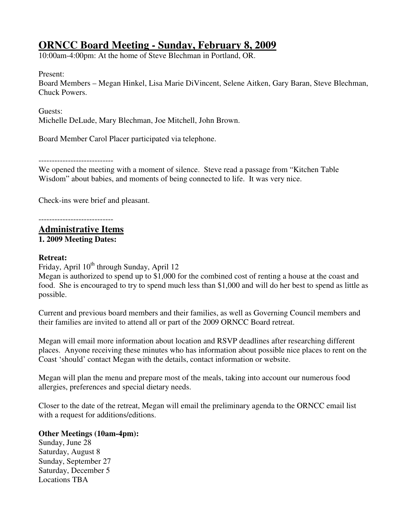# **ORNCC Board Meeting - Sunday, February 8, 2009**

10:00am-4:00pm: At the home of Steve Blechman in Portland, OR.

Present:

Board Members – Megan Hinkel, Lisa Marie DiVincent, Selene Aitken, Gary Baran, Steve Blechman, Chuck Powers.

Guests:

Michelle DeLude, Mary Blechman, Joe Mitchell, John Brown.

Board Member Carol Placer participated via telephone.

We opened the meeting with a moment of silence. Steve read a passage from "Kitchen Table Wisdom" about babies, and moments of being connected to life. It was very nice.

Check-ins were brief and pleasant.

----------------------------

**Administrative Items 1. 2009 Meeting Dates:** 

# **Retreat:**

Friday, April  $10^{th}$  through Sunday, April 12

Megan is authorized to spend up to \$1,000 for the combined cost of renting a house at the coast and food. She is encouraged to try to spend much less than \$1,000 and will do her best to spend as little as possible.

Current and previous board members and their families, as well as Governing Council members and their families are invited to attend all or part of the 2009 ORNCC Board retreat.

Megan will email more information about location and RSVP deadlines after researching different places. Anyone receiving these minutes who has information about possible nice places to rent on the Coast 'should' contact Megan with the details, contact information or website.

Megan will plan the menu and prepare most of the meals, taking into account our numerous food allergies, preferences and special dietary needs.

Closer to the date of the retreat, Megan will email the preliminary agenda to the ORNCC email list with a request for additions/editions.

# **Other Meetings (10am-4pm):**

Sunday, June 28 Saturday, August 8 Sunday, September 27 Saturday, December 5 Locations TBA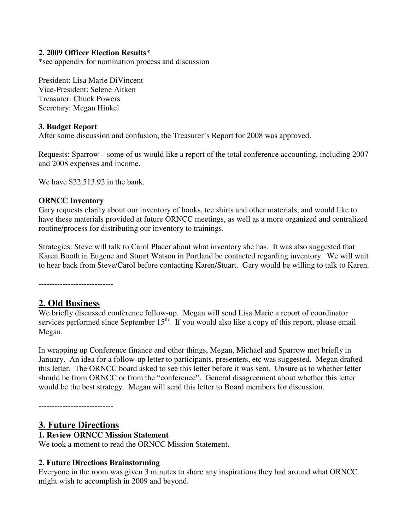#### **2. 2009 Officer Election Results\***

\*see appendix for nomination process and discussion

President: Lisa Marie DiVincent Vice-President: Selene Aitken Treasurer: Chuck Powers Secretary: Megan Hinkel

#### **3. Budget Report**

After some discussion and confusion, the Treasurer's Report for 2008 was approved.

Requests: Sparrow – some of us would like a report of the total conference accounting, including 2007 and 2008 expenses and income.

We have \$22,513.92 in the bank.

#### **ORNCC Inventory**

Gary requests clarity about our inventory of books, tee shirts and other materials, and would like to have these materials provided at future ORNCC meetings, as well as a more organized and centralized routine/process for distributing our inventory to trainings.

Strategies: Steve will talk to Carol Placer about what inventory she has. It was also suggested that Karen Booth in Eugene and Stuart Watson in Portland be contacted regarding inventory. We will wait to hear back from Steve/Carol before contacting Karen/Stuart. Gary would be willing to talk to Karen.

----------------------------

# **2. Old Business**

We briefly discussed conference follow-up. Megan will send Lisa Marie a report of coordinator services performed since September 15<sup>th</sup>. If you would also like a copy of this report, please email Megan.

In wrapping up Conference finance and other things, Megan, Michael and Sparrow met briefly in January. An idea for a follow-up letter to participants, presenters, etc was suggested. Megan drafted this letter. The ORNCC board asked to see this letter before it was sent. Unsure as to whether letter should be from ORNCC or from the "conference". General disagreement about whether this letter would be the best strategy. Megan will send this letter to Board members for discussion.

----------------------------

# **3. Future Directions**

#### **1. Review ORNCC Mission Statement**

We took a moment to read the ORNCC Mission Statement.

#### **2. Future Directions Brainstorming**

Everyone in the room was given 3 minutes to share any inspirations they had around what ORNCC might wish to accomplish in 2009 and beyond.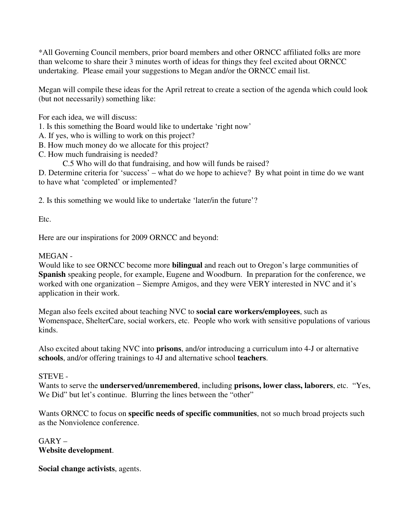\*All Governing Council members, prior board members and other ORNCC affiliated folks are more than welcome to share their 3 minutes worth of ideas for things they feel excited about ORNCC undertaking. Please email your suggestions to Megan and/or the ORNCC email list.

Megan will compile these ideas for the April retreat to create a section of the agenda which could look (but not necessarily) something like:

For each idea, we will discuss:

- 1. Is this something the Board would like to undertake 'right now'
- A. If yes, who is willing to work on this project?
- B. How much money do we allocate for this project?
- C. How much fundraising is needed?
	- C.5 Who will do that fundraising, and how will funds be raised?

D. Determine criteria for 'success' – what do we hope to achieve? By what point in time do we want to have what 'completed' or implemented?

2. Is this something we would like to undertake 'later/in the future'?

Etc.

Here are our inspirations for 2009 ORNCC and beyond:

# MEGAN -

Would like to see ORNCC become more **bilingual** and reach out to Oregon's large communities of **Spanish** speaking people, for example, Eugene and Woodburn. In preparation for the conference, we worked with one organization – Siempre Amigos, and they were VERY interested in NVC and it's application in their work.

Megan also feels excited about teaching NVC to **social care workers/employees**, such as Womenspace, ShelterCare, social workers, etc. People who work with sensitive populations of various kinds.

Also excited about taking NVC into **prisons**, and/or introducing a curriculum into 4-J or alternative **schools**, and/or offering trainings to 4J and alternative school **teachers**.

# STEVE -

Wants to serve the **underserved/unremembered**, including **prisons, lower class, laborers**, etc. "Yes, We Did" but let's continue. Blurring the lines between the "other"

Wants ORNCC to focus on **specific needs of specific communities**, not so much broad projects such as the Nonviolence conference.

 $GARY -$ **Website development**.

**Social change activists**, agents.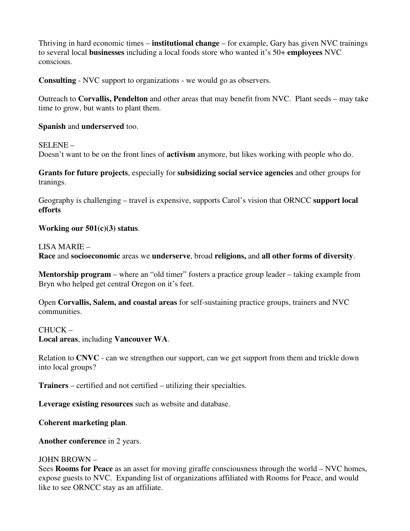Thriving in hard economic times – **institutional change** – for example, Gary has given NVC trainings to several local **businesses** including a local foods store who wanted it's 50+ **employees** NVC conscious.

**Consulting** - NVC support to organizations - we would go as observers.

Outreach to **Corvallis, Pendelton** and other areas that may benefit from NVC. Plant seeds – may take time to grow, but wants to plant them.

#### **Spanish** and **underserved** too.

SELENE – Doesn't want to be on the front lines of **activism** anymore, but likes working with people who do.

**Grants for future projects**, especially for **subsidizing social service agencies** and other groups for tranings.

Geography is challenging – travel is expensive, supports Carol's vision that ORNCC **support local efforts**

#### **Working our 501(c)(3) status**.

LISA MARIE –

**Race** and **socioeconomic** areas we **underserve**, broad **religions,** and **all other forms of diversity**.

**Mentorship program** – where an "old timer" fosters a practice group leader – taking example from Bryn who helped get central Oregon on it's feet.

Open **Corvallis, Salem, and coastal areas** for self-sustaining practice groups, trainers and NVC communities.

#### CHUCK –

**Local areas**, including **Vancouver WA**.

Relation to **CNVC** - can we strengthen our support, can we get support from them and trickle down into local groups?

**Trainers** – certified and not certified – utilizing their specialties.

**Leverage existing resources** such as website and database.

**Coherent marketing plan**.

**Another conference** in 2 years.

#### JOHN BROWN –

Sees **Rooms for Peace** as an asset for moving giraffe consciousness through the world – NVC homes, expose guests to NVC. Expanding list of organizations affiliated with Rooms for Peace, and would like to see ORNCC stay as an affiliate.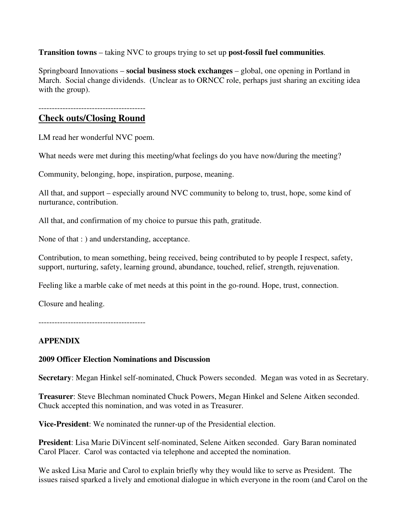**Transition towns** – taking NVC to groups trying to set up **post-fossil fuel communities**.

Springboard Innovations – **social business stock exchanges** – global, one opening in Portland in March. Social change dividends. (Unclear as to ORNCC role, perhaps just sharing an exciting idea with the group).

----------------------------------------

# **Check outs/Closing Round**

LM read her wonderful NVC poem.

What needs were met during this meeting/what feelings do you have now/during the meeting?

Community, belonging, hope, inspiration, purpose, meaning.

All that, and support – especially around NVC community to belong to, trust, hope, some kind of nurturance, contribution.

All that, and confirmation of my choice to pursue this path, gratitude.

None of that : ) and understanding, acceptance.

Contribution, to mean something, being received, being contributed to by people I respect, safety, support, nurturing, safety, learning ground, abundance, touched, relief, strength, rejuvenation.

Feeling like a marble cake of met needs at this point in the go-round. Hope, trust, connection.

Closure and healing.

----------------------------------------

# **APPENDIX**

# **2009 Officer Election Nominations and Discussion**

**Secretary**: Megan Hinkel self-nominated, Chuck Powers seconded. Megan was voted in as Secretary.

**Treasurer**: Steve Blechman nominated Chuck Powers, Megan Hinkel and Selene Aitken seconded. Chuck accepted this nomination, and was voted in as Treasurer.

**Vice-President**: We nominated the runner-up of the Presidential election.

**President**: Lisa Marie DiVincent self-nominated, Selene Aitken seconded. Gary Baran nominated Carol Placer. Carol was contacted via telephone and accepted the nomination.

We asked Lisa Marie and Carol to explain briefly why they would like to serve as President. The issues raised sparked a lively and emotional dialogue in which everyone in the room (and Carol on the